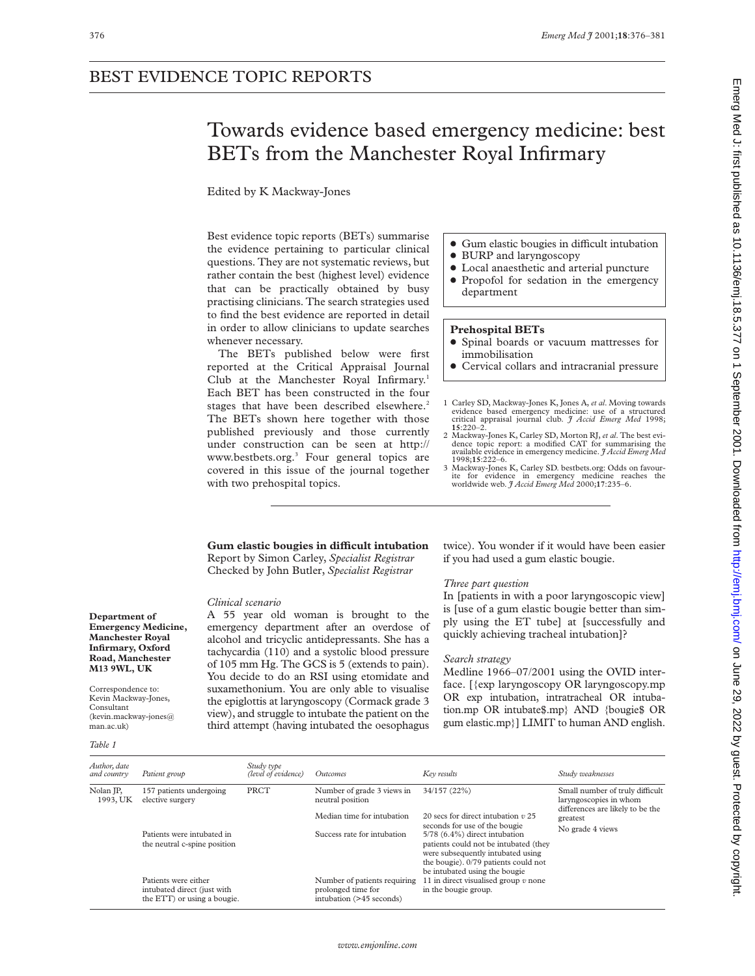## BEST EVIDENCE TOPIC REPORTS

# Towards evidence based emergency medicine: best BETs from the Manchester Royal Infirmary

Edited by K Mackway-Jones

Best evidence topic reports (BETs) summarise the evidence pertaining to particular clinical questions. They are not systematic reviews, but rather contain the best (highest level) evidence that can be practically obtained by busy practising clinicians. The search strategies used to find the best evidence are reported in detail in order to allow clinicians to update searches whenever necessary.

The BETs published below were first reported at the Critical Appraisal Journal Club at the Manchester Royal Infirmary.<sup>1</sup> Each BET has been constructed in the four stages that have been described elsewhere.<sup>2</sup> The BETs shown here together with those published previously and those currently under construction can be seen at http:// www.bestbets.org.<sup>3</sup> Four general topics are covered in this issue of the journal together with two prehospital topics.

- Gum elastic bougies in difficult intubation
- BURP and laryngoscopy
- $\bullet$  Local anaesthetic and arterial puncture • Propofol for sedation in the emergency

## **Prehospital BETs**

department

- x Spinal boards or vacuum mattresses for immobilisation
- Cervical collars and intracranial pressure
- 1 Carley SD, Mackway-Jones K, Jones A, *et al*. Moving towards evidence based emergency medicine: use of a structured critical appraisal journal club. *J Accid Emerg Med* 1998; **15**:220–2.
- 2 Mackway-Jones K, Carley SD, Morton RJ, *et al*. The best evidence topic report: a modified CAT for summarising the available evidence in emergency medicine. *J Accid Emerg Med*
- 1998;**15**:222–6. 3 Mackway-Jones K, Carley SD. bestbets.org: Odds on favourite for evidence in emergency medicine reaches the worldwide web. *J Accid Emerg Med* 2000;**17**:235–6.

## **Gum elastic bougies in diYcult intubation** Report by Simon Carley, *Specialist Registrar* Checked by John Butler, *Specialist Registrar*

## *Clinical scenario*

A 55 year old woman is brought to the emergency department after an overdose of alcohol and tricyclic antidepressants. She has a tachycardia (110) and a systolic blood pressure of 105 mm Hg. The GCS is 5 (extends to pain). You decide to do an RSI using etomidate and suxamethonium. You are only able to visualise the epiglottis at laryngoscopy (Cormack grade 3 view), and struggle to intubate the patient on the third attempt (having intubated the oesophagus twice). You wonder if it would have been easier if you had used a gum elastic bougie.

## *Three part question*

In [patients in with a poor laryngoscopic view] is [use of a gum elastic bougie better than simply using the ET tube] at [successfully and quickly achieving tracheal intubation]?

## *Search strategy*

Medline 1966–07/2001 using the OVID interface. [{exp laryngoscopy OR laryngoscopy.mp OR exp intubation, intratracheal OR intubation.mp OR intubate\$.mp} AND {bougie\$ OR gum elastic.mp}] LIMIT to human AND english.

**Department of Emergency Medicine, Manchester Royal Infirmary, Oxford Road, Manchester M13 9WL, UK**

Correspondence to: Kevin Mackway-Jones, Consultant (kevin.mackway-jones@ man.ac.uk)

#### *Table 1*

| Author, date<br>and country | Patient group                                                                      | Study type<br>(level of evidence) | Outcomes                                                                       | Key results                                                                                                                                                                                                           | Study weaknesses                                                                              |
|-----------------------------|------------------------------------------------------------------------------------|-----------------------------------|--------------------------------------------------------------------------------|-----------------------------------------------------------------------------------------------------------------------------------------------------------------------------------------------------------------------|-----------------------------------------------------------------------------------------------|
| Nolan JP,<br>1993, UK       | 157 patients undergoing<br>elective surgery                                        | PRCT                              | Number of grade 3 views in<br>neutral position                                 | 34/157 (22%)                                                                                                                                                                                                          | Small number of truly difficult<br>laryngoscopies in whom<br>differences are likely to be the |
|                             |                                                                                    |                                   | Median time for intubation                                                     | 20 secs for direct intubation $v$ 25                                                                                                                                                                                  | greatest                                                                                      |
|                             | Patients were intubated in<br>the neutral c-spine position                         |                                   | Success rate for intubation                                                    | seconds for use of the bougie<br>5/78 (6.4%) direct intubation<br>patients could not be intubated (they<br>were subsequently intubated using<br>the bougie). 0/79 patients could not<br>be intubated using the bougie | No grade 4 views                                                                              |
|                             | Patients were either<br>intubated direct (just with<br>the ETT) or using a bougie. |                                   | Number of patients requiring<br>prolonged time for<br>intubation (>45 seconds) | 11 in direct visualised group $v$ none<br>in the bougie group.                                                                                                                                                        |                                                                                               |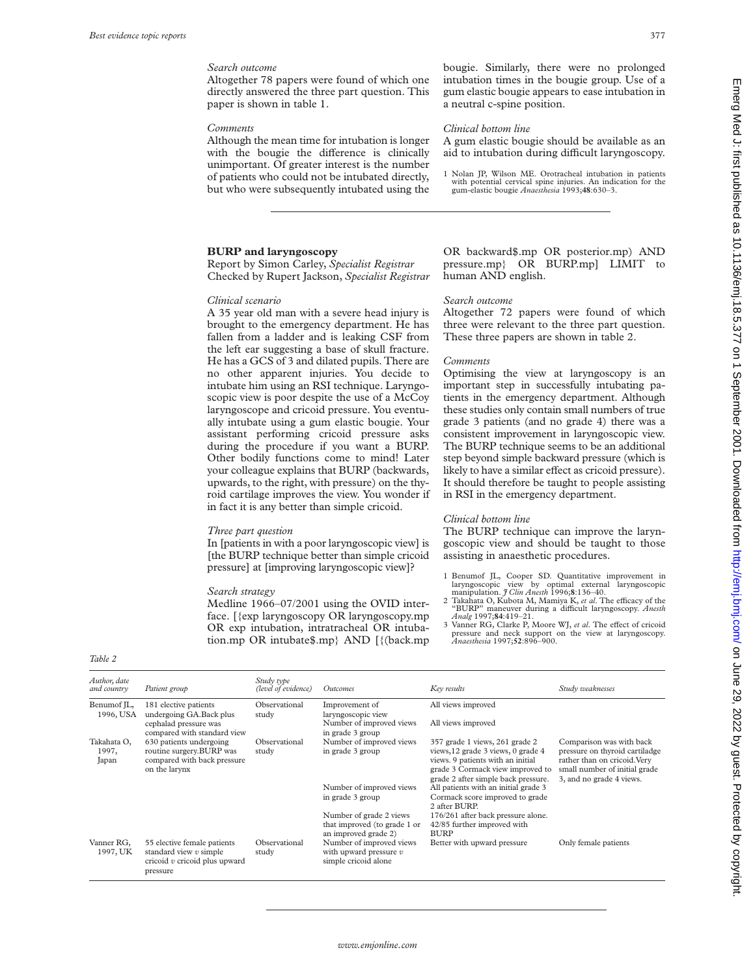## *Search outcome*

Altogether 78 papers were found of which one directly answered the three part question. This paper is shown in table 1.

#### *Comments*

Although the mean time for intubation is longer with the bougie the difference is clinically unimportant. Of greater interest is the number of patients who could not be intubated directly, but who were subsequently intubated using the

## **BURP and laryngoscopy**

Report by Simon Carley, *Specialist Registrar* Checked by Rupert Jackson, *Specialist Registrar*

#### *Clinical scenario*

A 35 year old man with a severe head injury is brought to the emergency department. He has fallen from a ladder and is leaking CSF from the left ear suggesting a base of skull fracture. He has a GCS of 3 and dilated pupils. There are no other apparent injuries. You decide to intubate him using an RSI technique. Laryngoscopic view is poor despite the use of a McCoy laryngoscope and cricoid pressure. You eventually intubate using a gum elastic bougie. Your assistant performing cricoid pressure asks during the procedure if you want a BURP. Other bodily functions come to mind! Later your colleague explains that BURP (backwards, upwards, to the right, with pressure) on the thyroid cartilage improves the view. You wonder if in fact it is any better than simple cricoid.

#### *Three part question*

In [patients in with a poor laryngoscopic view] is [the BURP technique better than simple cricoid pressure] at [improving laryngoscopic view]?

#### *Search strategy*

Medline 1966–07/2001 using the OVID interface. [{exp laryngoscopy OR laryngoscopy.mp OR exp intubation, intratracheal OR intubation.mp OR intubate\$.mp} AND [{(back.mp

bougie. Similarly, there were no prolonged intubation times in the bougie group. Use of a gum elastic bougie appears to ease intubation in a neutral c-spine position.

#### *Clinical bottom line*

A gum elastic bougie should be available as an aid to intubation during difficult laryngoscopy.

1 Nolan JP, Wilson ME. Orotracheal intubation in patients with potential cervical spine injuries. An indication for the gum-elastic bougie *Anaesthesia* 1993;**48**:630–3.

OR backward\$.mp OR posterior.mp) AND pressure.mp} OR BURP.mp] LIMIT to human AND english.

#### *Search outcome*

Altogether 72 papers were found of which three were relevant to the three part question. These three papers are shown in table 2.

#### *Comments*

Optimising the view at laryngoscopy is an important step in successfully intubating patients in the emergency department. Although these studies only contain small numbers of true grade 3 patients (and no grade 4) there was a consistent improvement in laryngoscopic view. The BURP technique seems to be an additional step beyond simple backward pressure (which is likely to have a similar effect as cricoid pressure). It should therefore be taught to people assisting in RSI in the emergency department.

## *Clinical bottom line*

The BURP technique can improve the laryngoscopic view and should be taught to those assisting in anaesthetic procedures.

- 1 Benumof JL, Cooper SD. Quantitative improvement in laryngoscopic view by optimal external laryngoscopic manipulation. *J Clin Anesth* 1996;8:136-40.
- manipulation. *J Clin Anesth* 1996;**8**:136–40.<br>2 Takahata O, Kubota M, Mamiya K, *et al*. The efficacy of the<br>"BURP" maneuver during a difficult laryngoscopy. *Anesth Analg* 1997;**84**:419–21.
- Vanner RG, Clarke P, Moore WJ, et al. The effect of cricoid pressure and neck support on the view at laryngoscopy. *Anaesthesia* 1997;**52**:896–900.

| <br><b>COLLEGE</b><br>o m<br>× |  |  |  |
|--------------------------------|--|--|--|
|--------------------------------|--|--|--|

| Author, date<br>and country   | Patient group                                                                                          | Study type<br>(level of evidence) | Outcomes                                                                        | Key results                                                                                                                                                                          | Study weaknesses                                                                                                                                        |
|-------------------------------|--------------------------------------------------------------------------------------------------------|-----------------------------------|---------------------------------------------------------------------------------|--------------------------------------------------------------------------------------------------------------------------------------------------------------------------------------|---------------------------------------------------------------------------------------------------------------------------------------------------------|
| Benumof IL,<br>1996, USA      | 181 elective patients<br>undergoing GA. Back plus                                                      | Observational<br>study            | Improvement of<br>laryngoscopic view                                            | All views improved                                                                                                                                                                   |                                                                                                                                                         |
|                               | cephalad pressure was<br>compared with standard view                                                   |                                   | Number of improved views<br>in grade 3 group                                    | All views improved                                                                                                                                                                   |                                                                                                                                                         |
| Takahata O,<br>1997,<br>Japan | 630 patients undergoing<br>routine surgery.BURP was<br>compared with back pressure<br>on the larynx    | Observational<br>study            | Number of improved views<br>in grade 3 group                                    | 357 grade 1 views, 261 grade 2<br>views, 12 grade 3 views, 0 grade 4<br>views. 9 patients with an initial<br>grade 3 Cormack view improved to<br>grade 2 after simple back pressure. | Comparison was with back<br>pressure on thyroid cartiladge<br>rather than on cricoid. Very<br>small number of initial grade<br>3, and no grade 4 views. |
|                               |                                                                                                        |                                   | Number of improved views<br>in grade 3 group                                    | All patients with an initial grade 3<br>Cormack score improved to grade<br>2 after BURP.                                                                                             |                                                                                                                                                         |
|                               |                                                                                                        |                                   | Number of grade 2 views<br>that improved (to grade 1 or<br>an improved grade 2) | 176/261 after back pressure alone.<br>42/85 further improved with<br><b>BURP</b>                                                                                                     |                                                                                                                                                         |
| Vanner RG,<br>1997, UK        | 55 elective female patients<br>standard view $v$ simple<br>cricoid $v$ cricoid plus upward<br>pressure | Observational<br>study            | Number of improved views<br>with upward pressure $v$<br>simple cricoid alone    | Better with upward pressure                                                                                                                                                          | Only female patients                                                                                                                                    |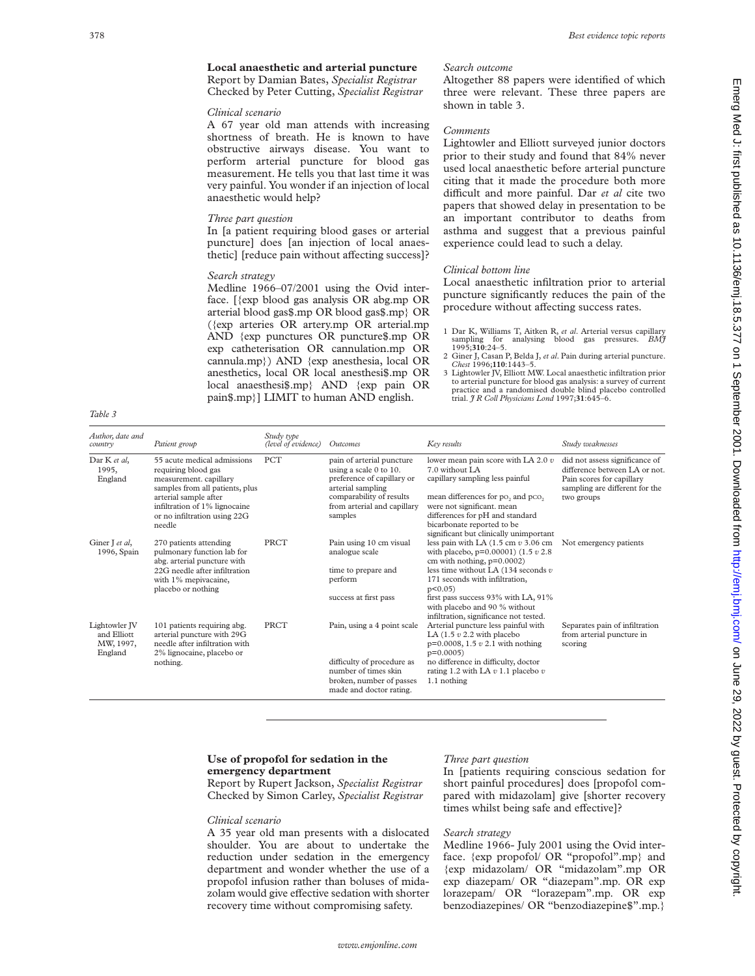Altogether 88 papers were identified of which three were relevant. These three papers are

Lightowler and Elliott surveyed junior doctors prior to their study and found that 84% never used local anaesthetic before arterial puncture citing that it made the procedure both more difficult and more painful. Dar *et al* cite two papers that showed delay in presentation to be an important contributor to deaths from asthma and suggest that a previous painful

Local anaesthetic infiltration prior to arterial puncture significantly reduces the pain of the procedure without affecting success rates.

1 Dar K, Williams T, Aitken R, *et al*. Arterial versus capillary sampling for analysing blood gas pressures. *BMJ* 1995;**310**:24–5. 2 Giner J, Casan P, Belda J, *et al*. Pain during arterial puncture. *Chest* 1996;**110**:1443–5. 3 Lightowler JV, Elliott MW. Local anaesthetic infiltration prior to arterial puncture for blood gas analysis: a survey of current practice and a randomised double blind placebo controlled

experience could lead to such a delay.

trial. *J R Coll Physicians Lond* 1997;**31**:645–6.

## **Local anaesthetic and arterial puncture** Report by Damian Bates, *Specialist Registrar*

Checked by Peter Cutting, *Specialist Registrar*

## *Clinical scenario*

A 67 year old man attends with increasing shortness of breath. He is known to have obstructive airways disease. You want to perform arterial puncture for blood gas measurement. He tells you that last time it was very painful. You wonder if an injection of local anaesthetic would help?

## *Three part question*

In [a patient requiring blood gases or arterial puncture] does [an injection of local anaesthetic] [reduce pain without affecting success]?

## *Search strategy*

Medline 1966–07/2001 using the Ovid interface. [{exp blood gas analysis OR abg.mp OR arterial blood gas\$.mp OR blood gas\$.mp} OR ({exp arteries OR artery.mp OR arterial.mp AND {exp punctures OR puncture\$.mp OR exp catheterisation OR cannulation.mp OR cannula.mp}) AND {exp anesthesia, local OR anesthetics, local OR local anesthesi\$.mp OR local anaesthesi\$.mp} AND {exp pain OR pain\$.mp}] LIMIT to human AND english.

*Table 3*

| Author, date and<br>country                          | Patient group                                                                                                                                                                                                       | Study type<br>(level of evidence) | Outcomes                                                                                                                                                                     | Key results                                                                                                                                                                                                                                                                                            | Study weaknesses                                                                                                                             |
|------------------------------------------------------|---------------------------------------------------------------------------------------------------------------------------------------------------------------------------------------------------------------------|-----------------------------------|------------------------------------------------------------------------------------------------------------------------------------------------------------------------------|--------------------------------------------------------------------------------------------------------------------------------------------------------------------------------------------------------------------------------------------------------------------------------------------------------|----------------------------------------------------------------------------------------------------------------------------------------------|
| Dar K et al.<br>1995.<br>England                     | 55 acute medical admissions<br>requiring blood gas<br>measurement. capillary<br>samples from all patients, plus<br>arterial sample after<br>infiltration of 1% lignocaine<br>or no infiltration using 22G<br>needle | <b>PCT</b>                        | pain of arterial puncture<br>using a scale 0 to 10.<br>preference of capillary or<br>arterial sampling<br>comparability of results<br>from arterial and capillary<br>samples | lower mean pain score with LA 2.0 $v$<br>7.0 without LA<br>capillary sampling less painful<br>mean differences for po, and pco,<br>were not significant. mean<br>differences for pH and standard<br>bicarbonate reported to be<br>significant but clinically unimportant                               | did not assess significance of<br>difference between LA or not.<br>Pain scores for capillary<br>sampling are different for the<br>two groups |
| Giner J et al,<br>1996, Spain                        | 270 patients attending<br>pulmonary function lab for<br>abg. arterial puncture with<br>22G needle after infiltration<br>with 1% mepivacaine,<br>placebo or nothing                                                  | PRCT                              | Pain using 10 cm visual<br>analogue scale<br>time to prepare and<br>perform<br>success at first pass                                                                         | less pain with LA $(1.5 \text{ cm } v 3.06 \text{ cm})$<br>with placebo, $p=0.00001$ (1.5 $v$ 2.8)<br>cm with nothing, $p=0.0002$ )<br>less time without LA $(134$ seconds $v$<br>171 seconds with infiltration,<br>$p<0.05$ )<br>first pass success 93% with LA, 91%                                  | Not emergency patients                                                                                                                       |
| Lightowler IV<br>and Elliott<br>MW, 1997,<br>England | 101 patients requiring abg.<br>arterial puncture with 29G<br>needle after infiltration with<br>2% lignocaine, placebo or<br>nothing.                                                                                | <b>PRCT</b>                       | Pain, using a 4 point scale<br>difficulty of procedure as<br>number of times skin<br>broken, number of passes<br>made and doctor rating.                                     | with placebo and 90 % without<br>infiltration, significance not tested.<br>Arterial puncture less painful with<br>LA $(1.5 v 2.2 with placebo)$<br>$p=0.0008$ , 1.5 $v$ 2.1 with nothing<br>$p=0.0005$<br>no difference in difficulty, doctor<br>rating 1.2 with LA $v$ 1.1 placebo $v$<br>1.1 nothing | Separates pain of infiltration<br>from arterial puncture in<br>scoring                                                                       |

## **Use of propofol for sedation in the emergency department**

Report by Rupert Jackson, *Specialist Registrar* Checked by Simon Carley, *Specialist Registrar*

#### *Clinical scenario*

A 35 year old man presents with a dislocated shoulder. You are about to undertake the reduction under sedation in the emergency department and wonder whether the use of a propofol infusion rather than boluses of midazolam would give effective sedation with shorter recovery time without compromising safety.

#### *Three part question*

*Search outcome*

shown in table 3.

*Clinical bottom line*

*Comments*

In [patients requiring conscious sedation for short painful procedures] does [propofol compared with midazolam] give [shorter recovery times whilst being safe and effective]?

## *Search strategy*

Medline 1966- July 2001 using the Ovid interface. {exp propofol/ OR "propofol".mp} and {exp midazolam/ OR "midazolam".mp OR exp diazepam/ OR "diazepam".mp. OR exp lorazepam/ OR "lorazepam".mp. OR exp benzodiazepines/ OR "benzodiazepine\$".mp.}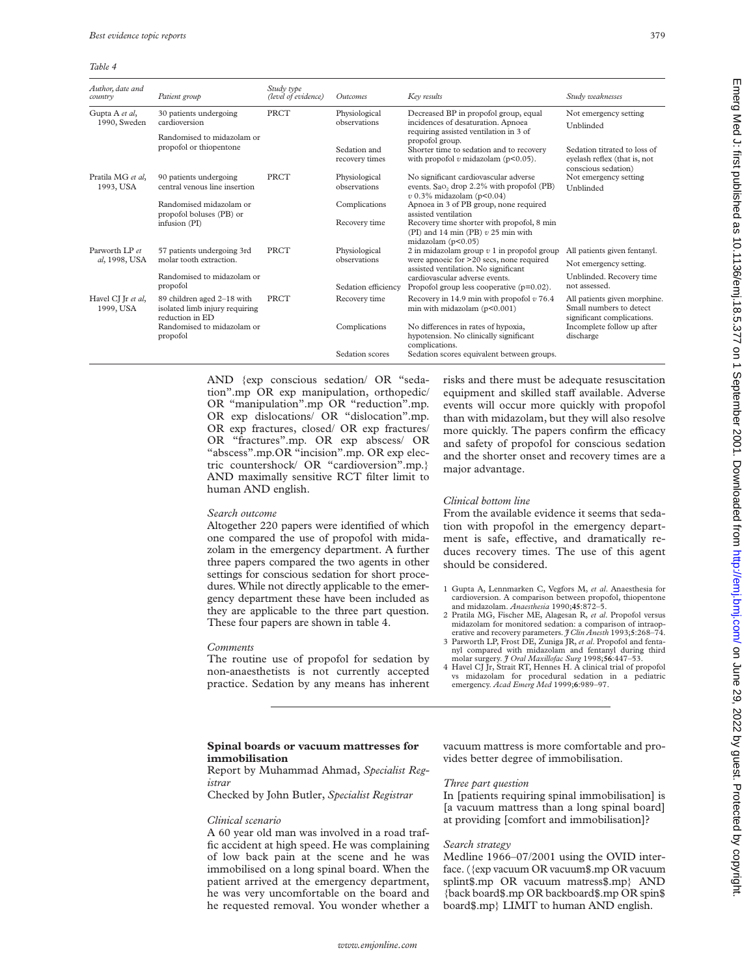#### *Table 4*

| Author, date and<br>country     | Patient group                                                                   | Study type<br>(level of evidence) | Outcomes                       | Key results                                                                                                                                                        | Study weaknesses                                                                      |
|---------------------------------|---------------------------------------------------------------------------------|-----------------------------------|--------------------------------|--------------------------------------------------------------------------------------------------------------------------------------------------------------------|---------------------------------------------------------------------------------------|
| Gupta A et al,<br>1990, Sweden  | 30 patients undergoing<br>cardioversion                                         | <b>PRCT</b>                       | Physiological<br>observations  | Decreased BP in propofol group, equal<br>incidences of desaturation. Apnoea                                                                                        | Not emergency setting<br>Unblinded                                                    |
|                                 | Randomised to midazolam or                                                      |                                   |                                | requiring assisted ventilation in 3 of<br>propofol group.                                                                                                          |                                                                                       |
|                                 | propofol or thiopentone                                                         |                                   | Sedation and<br>recovery times | Shorter time to sedation and to recovery<br>with propofol $v$ midazolam ( $p<0.05$ ).                                                                              | Sedation titrated to loss of<br>eyelash reflex (that is, not<br>conscious sedation)   |
| Pratila MG et al.<br>1993, USA  | 90 patients undergoing<br>central venous line insertion                         | PRCT                              | Physiological<br>observations  | No significant cardiovascular adverse<br>events. Sao <sub>2</sub> drop 2.2% with propofol (PB)<br>$v$ 0.3% midazolam (p<0.04)                                      | Not emergency setting<br>Unblinded                                                    |
|                                 | Randomised midazolam or<br>propofol boluses (PB) or<br>infusion (PI)            |                                   | Complications                  | Apnoea in 3 of PB group, none required<br>assisted ventilation                                                                                                     |                                                                                       |
|                                 |                                                                                 |                                   | Recovery time                  | Recovery time shorter with propofol, 8 min<br>(PI) and 14 min (PB) $v$ 25 min with<br>midazolam $(p<0.05)$                                                         |                                                                                       |
| Parworth I.P et                 | 57 patients undergoing 3rd                                                      | PRCT                              | Physiological                  | 2 in midazolam group $v$ 1 in propofol group                                                                                                                       | All patients given fentanyl.                                                          |
| al, 1998, USA                   | molar tooth extraction.                                                         |                                   | observations                   | were apnoeic for >20 secs, none required<br>assisted ventilation. No significant<br>cardiovascular adverse events.<br>Propofol group less cooperative $(p=0.02)$ . | Not emergency setting.                                                                |
|                                 | Randomised to midazolam or<br>propofol                                          |                                   | Sedation efficiency            |                                                                                                                                                                    | Unblinded. Recovery time<br>not assessed.                                             |
| Havel CJ Jr et al,<br>1999, USA | 89 children aged 2-18 with<br>isolated limb injury requiring<br>reduction in ED | <b>PRCT</b>                       | Recovery time                  | Recovery in 14.9 min with propofol $v$ 76.4<br>min with midazolam $(p<0.001)$                                                                                      | All patients given morphine.<br>Small numbers to detect<br>significant complications. |
|                                 | Randomised to midazolam or<br>propofol                                          |                                   | Complications                  | No differences in rates of hypoxia,<br>hypotension. No clinically significant<br>complications.                                                                    | Incomplete follow up after<br>discharge                                               |
|                                 |                                                                                 |                                   | Sedation scores                | Sedation scores equivalent between groups.                                                                                                                         |                                                                                       |

AND {exp conscious sedation/ OR "sedation".mp OR exp manipulation, orthopedic/ OR "manipulation".mp OR "reduction".mp. OR exp dislocations/ OR "dislocation".mp. OR exp fractures, closed/ OR exp fractures/ OR "fractures".mp. OR exp abscess/ OR "abscess".mp.OR "incision".mp. OR exp electric countershock/ OR "cardioversion".mp.} AND maximally sensitive RCT filter limit to human AND english.

## *Search outcome*

Altogether 220 papers were identified of which one compared the use of propofol with midazolam in the emergency department. A further three papers compared the two agents in other settings for conscious sedation for short procedures. While not directly applicable to the emergency department these have been included as they are applicable to the three part question. These four papers are shown in table 4.

#### *Comments*

The routine use of propofol for sedation by non-anaesthetists is not currently accepted practice. Sedation by any means has inherent risks and there must be adequate resuscitation equipment and skilled staff available. Adverse events will occur more quickly with propofol than with midazolam, but they will also resolve more quickly. The papers confirm the efficacy and safety of propofol for conscious sedation and the shorter onset and recovery times are a major advantage.

## *Clinical bottom line*

From the available evidence it seems that sedation with propofol in the emergency department is safe, effective, and dramatically reduces recovery times. The use of this agent should be considered.

- 1 Gupta A, Lennmarken C, Vegfors M, *et al*. Anaesthesia for cardioversion. A comparison between propofol, thiopentone and midazolam. *Anaesthesia* 1990;**45**:872–5.
- 2 Pratila MG, Fischer ME, Alagesan R, *et al*. Propofol versus midazolam for monitored sedation: a comparison of intraoperative and recovery parameters. *J Clin Anesth* 1993;**5**:268–74.
- 3 Parworth LP, Frost DE, Zuniga JR, *et al*. Propofol and fentanyl compared with midazolam and fentanyl during third molar surgery. *J Oral Maxillofac Surg* 1998;**56**:447–53. 4 Havel CJ Jr, Strait RT, Hennes H. A clinical trial of propofol
- vs midazolam for procedural sedation in a pediatric emergency. *Acad Emerg Med* 1999;**6**:989–97.

## **Spinal boards or vacuum mattresses for immobilisation**

## Report by Muhammad Ahmad, *Specialist Registrar*

Checked by John Butler, *Specialist Registrar*

#### *Clinical scenario*

A 60 year old man was involved in a road traffic accident at high speed. He was complaining of low back pain at the scene and he was immobilised on a long spinal board. When the patient arrived at the emergency department, he was very uncomfortable on the board and he requested removal. You wonder whether a vacuum mattress is more comfortable and provides better degree of immobilisation.

#### *Three part question*

In [patients requiring spinal immobilisation] is [a vacuum mattress than a long spinal board] at providing [comfort and immobilisation]?

## *Search strategy*

Medline 1966–07/2001 using the OVID interface. ({exp vacuum OR vacuum\$.mp OR vacuum splint\$.mp OR vacuum matress\$.mp} AND {back board\$.mp OR backboard\$.mp OR spin\$ board\$.mp} LIMIT to human AND english.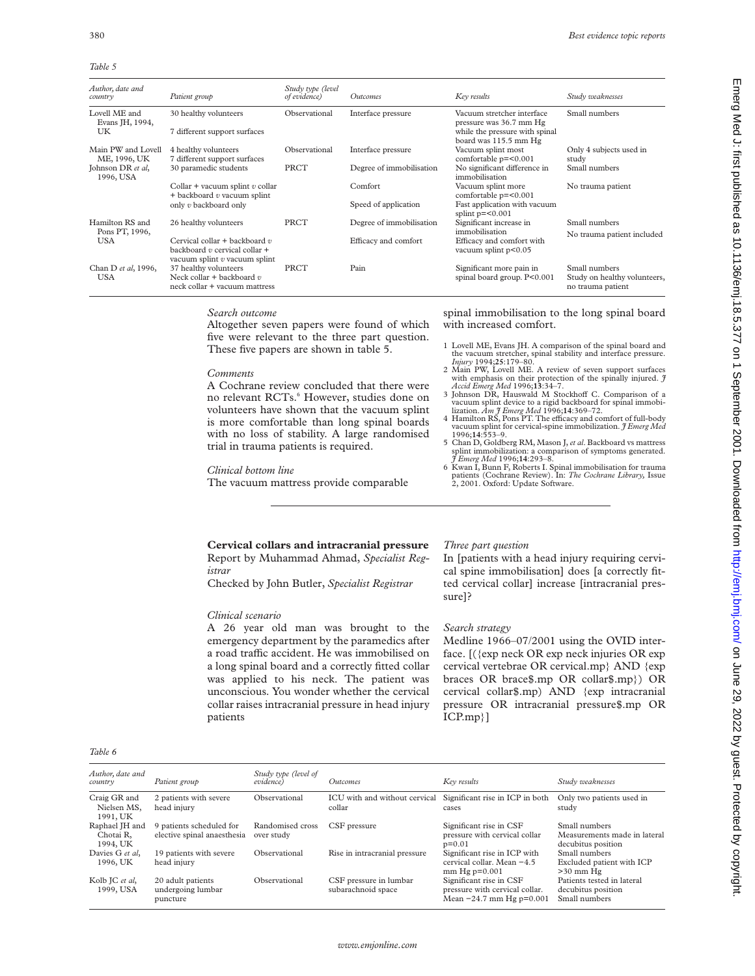*Table 5*

| Author, date and<br>country        | Patient group                                                                                             | Study type (level<br>of evidence) | <b>Outcomes</b>          | Key results                                             | Study weaknesses                                                   |
|------------------------------------|-----------------------------------------------------------------------------------------------------------|-----------------------------------|--------------------------|---------------------------------------------------------|--------------------------------------------------------------------|
| Lovell ME and<br>Evans JH, 1994,   | 30 healthy volunteers                                                                                     | Observational                     | Interface pressure       | Vacuum stretcher interface<br>pressure was 36.7 mm Hg   | Small numbers                                                      |
| UK                                 | 7 different support surfaces                                                                              |                                   |                          | while the pressure with spinal<br>board was 115.5 mm Hg |                                                                    |
| Main PW and Lovell<br>ME, 1996, UK | 4 healthy volunteers<br>7 different support surfaces                                                      | Observational                     | Interface pressure       | Vacuum splint most<br>comfortable p=<0.001              | Only 4 subjects used in<br>study                                   |
| Johnson DR et al,<br>1996, USA     | 30 paramedic students                                                                                     | PRCT                              | Degree of immobilisation | No significant difference in<br>immobilisation          | Small numbers                                                      |
|                                    | Collar + vacuum splint $v$ collar<br>$+$ backboard $v$ vacuum splint                                      |                                   | Comfort                  | Vacuum splint more<br>comfortable p=<0.001              | No trauma patient                                                  |
|                                    | only v backboard only                                                                                     |                                   | Speed of application     | Fast application with vacuum<br>splint $p=<0.001$       |                                                                    |
| Hamilton RS and<br>Pons PT, 1996,  | 26 healthy volunteers                                                                                     | <b>PRCT</b>                       | Degree of immobilisation | Significant increase in<br>immobilisation               | Small numbers<br>No trauma patient included                        |
| USA                                | Cervical collar $+$ backboard $v$<br>backboard $v$ cervical collar $+$<br>vacuum splint $v$ vacuum splint |                                   | Efficacy and comfort     | Efficacy and comfort with<br>vacuum splint $p<0.05$     |                                                                    |
| Chan D et al, 1996,<br>USA         | 37 healthy volunteers<br>Neck collar + backboard $v$<br>neck collar + vacuum mattress                     | PRCT                              | Pain                     | Significant more pain in<br>spinal board group. P<0.001 | Small numbers<br>Study on healthy volunteers,<br>no trauma patient |

## *Search outcome*

Altogether seven papers were found of which five were relevant to the three part question. These five papers are shown in table 5.

#### *Comments*

A Cochrane review concluded that there were no relevant RCTs.<sup>6</sup> However, studies done on volunteers have shown that the vacuum splint is more comfortable than long spinal boards with no loss of stability. A large randomised trial in trauma patients is required.

#### *Clinical bottom line*

The vacuum mattress provide comparable

spinal immobilisation to the long spinal board with increased comfort.

- 1 Lovell ME, Evans JH. A comparison of the spinal board and the vacuum stretcher, spinal stability and interface pressure.
- *Injury* 1994;**25**:179–80. 2 Main PW, Lovell ME. A review of seven support surfaces with emphasis on their protection of the spinally injured. *J Accid Emerg Med* 1996;**13**:34–7.
- 3 Johnson DR, Hauswald M Stockhoff C. Comparison of a vacuum splint device to a rigid backboard for spinal immobi-<br>lization. *Am J Emerg Med* 1996;14:369–72.
- 4 Hamilton RS, Pons PT. The efficacy and comfort of full-body vacuum splint for cervical-spine immobilization. *J Emerg Med* 1996;**14**:553–9.
- 5 Chan D, Goldberg RM, Mason J,*et al*. Backboard vs mattress splint immobilization: a comparison of symptoms generated. *J Emerg Med* 1996;**14**:293–8.
- 6 Kwan I, Bunn F, Roberts I. Spinal immobilisation for trauma patients (Cochrane Review). In: *The Cochrane Library,* Issue 2, 2001. Oxford: Update Software.

Emerg Med J: first published as 10.1136/emj.18.5.377 on 1 September 2001. Downloaded from http://emj.bmj.com/ on June 29, 2022 by guest. Protected by copyright Emerg Wext, Protected by scass: Protected by guest. Published and the interval on 10001. Downloaded from the 20, 2022 by 2022 by 2022 by substrated by copyright. Protected by copyright.

## **Cervical collars and intracranial pressure** Report by Muhammad Ahmad, *Specialist Registrar*

Checked by John Butler, *Specialist Registrar*

## *Clinical scenario*

A 26 year old man was brought to the emergency department by the paramedics after a road traffic accident. He was immobilised on a long spinal board and a correctly fitted collar was applied to his neck. The patient was unconscious. You wonder whether the cervical collar raises intracranial pressure in head injury patients

#### *Three part question*

In [patients with a head injury requiring cervical spine immobilisation] does [a correctly fitted cervical collar] increase [intracranial pressure]?

## *Search strategy*

Medline 1966–07/2001 using the OVID interface. [({exp neck OR exp neck injuries OR exp cervical vertebrae OR cervical.mp} AND {exp braces OR brace\$.mp OR collar\$.mp}) OR cervical collar\$.mp) AND {exp intracranial pressure OR intracranial pressure\$.mp OR ICP.mp}]

| . .<br><b>COLLEGE</b> | ۰, |
|-----------------------|----|
|-----------------------|----|

| Author, date and<br>country             | Patient group                                           | Study type (level of<br><i>evidence</i> | <i><u>Outcomes</u></i>                                                  | Key results                                                                             | Study weaknesses                                                    |
|-----------------------------------------|---------------------------------------------------------|-----------------------------------------|-------------------------------------------------------------------------|-----------------------------------------------------------------------------------------|---------------------------------------------------------------------|
| Craig GR and<br>Nielsen MS,<br>1991, UK | 2 patients with severe<br>head injury                   | Observational                           | ICU with and without cervical Significant rise in ICP in both<br>collar | cases                                                                                   | Only two patients used in<br>study                                  |
| Raphael JH and<br>Chotai R.<br>1994, UK | 9 patients scheduled for<br>elective spinal anaesthesia | Randomised cross<br>over study          | CSF pressure                                                            | Significant rise in CSF<br>pressure with cervical collar<br>$p=0.01$                    | Small numbers<br>Measurements made in lateral<br>decubitus position |
| Davies G et al.<br>1996, UK             | 19 patients with severe<br>head injury                  | Observational                           | Rise in intracranial pressure                                           | Significant rise in ICP with<br>cervical collar. Mean -4.5<br>$mm$ Hg $p=0.001$         | Small numbers<br>Excluded patient with ICP<br>$>30$ mm Hg           |
| Kolb JC et al,<br>1999, USA             | 20 adult patients<br>undergoing lumbar<br>puncture      | Observational                           | CSF pressure in lumbar<br>subarachnoid space                            | Significant rise in CSF<br>pressure with cervical collar.<br>Mean $-24.7$ mm Hg p=0.001 | Patients tested in lateral<br>decubitus position<br>Small numbers   |